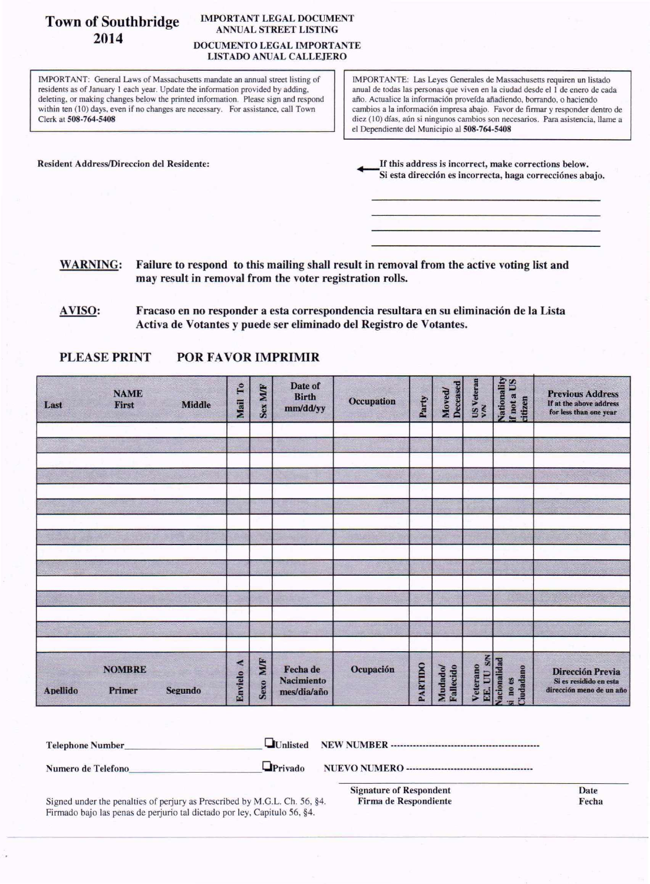# Town of Southbridge 2014

#### IMPORTANT LEGAL DOCUMENT ANNUAL STREET LISTING DOCUMENTOLEGALIMPORTANTE LISTADO ANUAL CALLEJERO

IMPORTANT: General Laws of Massachusetts mandate an annual street listing of residents as of January I each year. Update the information provided by adding, deleting, or making changes below the printed information. Please sign and respond within ten (10) days, even if no changes are necessary. For assistance, call Town Clerk at 508-764-5408

IMPORTANTE: Las Leyes Generales de Massachusetts requiren un listado anual de todas las personas que viven en la ciudad desde el 1 de enero de cada año. Actualice la información proveída añadiendo, borrando, o haciendo cambios a la información impresa abajo. Favor de firmar y responder dentro de diez (10) días, aún si ningunos cambios son necesarios. Para asistencia, llame a el Dependiente del Municipio al 508-764-5408

Resident Address/Direccion del Residente:  $\qquad \qquad$  If this address is incorrect, make corrections below. Si esta dirección es incorrecta, haga correcciónes abajo.

WARNING: Failure to respond to this mailing shall result in removal from the active voting list and may result in removal from the voter registration rolls.

# PLEASE PRINT POR FAVOR IMPRIMIR

| Last            | <b>NAME</b><br>First    | <b>Middle</b> | Mail To   | Sex M/F  | Date of<br><b>Birth</b><br>mm/dd/yy          | Occupation | Party   | Deceased<br><b>Moved</b> | US Veteran<br>V/N | Nationality<br>If not a US<br>citizen | <b>Previous Address</b><br>If at the above address<br>for less than one year |
|-----------------|-------------------------|---------------|-----------|----------|----------------------------------------------|------------|---------|--------------------------|-------------------|---------------------------------------|------------------------------------------------------------------------------|
|                 |                         |               |           |          |                                              |            |         |                          |                   |                                       |                                                                              |
|                 |                         |               |           |          |                                              |            |         |                          |                   |                                       |                                                                              |
|                 |                         |               |           |          |                                              |            |         |                          |                   |                                       |                                                                              |
|                 |                         |               |           |          |                                              |            |         |                          |                   |                                       |                                                                              |
|                 |                         |               |           |          |                                              |            |         |                          |                   |                                       |                                                                              |
|                 |                         |               |           |          |                                              |            |         |                          |                   |                                       |                                                                              |
| <b>Apellido</b> | <b>NOMBRE</b><br>Primer | Segundo       | Envielo A | Sexo M/F | Fecha de<br><b>Nacimiento</b><br>mes/dia/año | Ocupación  | PARTIDO | Mudado/<br>Fallecido     | Veterano          | EE. UU SM<br>iudadano<br>i no es      | Dirección Previa<br>Si es residido en esta<br>dirección meno de un año       |

| <b>Telephone Number</b> |                |                         |      |
|-------------------------|----------------|-------------------------|------|
| Numero de Telefono      | $\Box$ Privado |                         |      |
|                         |                | Signature of Respondent | Date |

Signed under the penalties of perjury as Prescribed by M.G.L. Ch. 56, §4. Firma de Respondiente Fecha Firmado bajo las penas de perjurio tal dictado par ley, Capitulo 56, §4.

**Signature of Responde** Firma de Respondiente Date

AVISO: Fracaso en no responder a esta correspondencia resultara en su eliminación de la Lista Activa de Votantes y puede ser eliminado del Registro de Votantes.